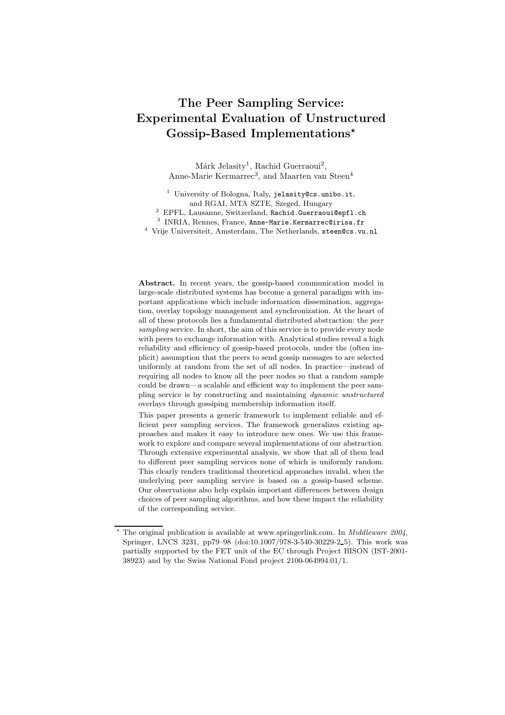# The Peer Sampling Service: Experimental Evaluation of Unstructured Gossip-Based Implementations\*

Márk Jelasity<sup>1</sup>, Rachid Guerraoui<sup>2</sup>, Anne-Marie Kermarrec<sup>3</sup>, and Maarten van Steen<sup>4</sup>

<sup>1</sup> University of Bologna, Italy, jelasity@cs.unibo.it, and RGAI, MTA SZTE, Szeged, Hungary <sup>2</sup> EPFL, Lausanne, Switzerland, Rachid.Guerraoui@epfl.ch 3 INRIA, Rennes, France, Anne-Marie.Kermarrec@irisa.fr <sup>4</sup> Vrije Universiteit, Amsterdam, The Netherlands, steen@cs.vu.nl

Abstract. In recent years, the gossip-based communication model in large-scale distributed systems has become a general paradigm with important applications which include information dissemination, aggregation, overlay topology management and synchronization. At the heart of all of these protocols lies a fundamental distributed abstraction: the *peer sampling* service. In short, the aim of this service is to provide every node with peers to exchange information with. Analytical studies reveal a high reliability and efficiency of gossip-based protocols, under the (often implicit) assumption that the peers to send gossip messages to are selected uniformly at random from the set of all nodes. In practice—instead of requiring all nodes to know all the peer nodes so that a random sample could be drawn—a scalable and efficient way to implement the peer sampling service is by constructing and maintaining *dynamic unstructured* overlays through gossiping membership information itself.

This paper presents a generic framework to implement reliable and efficient peer sampling services. The framework generalizes existing approaches and makes it easy to introduce new ones. We use this framework to explore and compare several implementations of our abstraction. Through extensive experimental analysis, we show that all of them lead to different peer sampling services none of which is uniformly random. This clearly renders traditional theoretical approaches invalid, when the underlying peer sampling service is based on a gossip-based scheme. Our observations also help explain important differences between design choices of peer sampling algorithms, and how these impact the reliability of the corresponding service.

<sup>⋆</sup> The original publication is available at www.springerlink.com. In *Middleware 2004*, Springer, LNCS 3231, pp79–98 (doi:10.1007/978-3-540-30229-2 5). This work was partially supported by the FET unit of the EC through Project BISON (IST-2001- 38923) and by the Swiss National Fond project 2100-064994.01/1.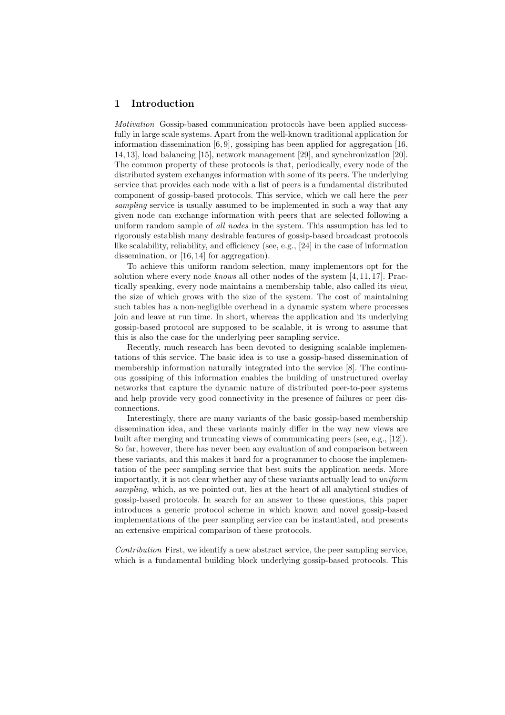## 1 Introduction

Motivation Gossip-based communication protocols have been applied successfully in large scale systems. Apart from the well-known traditional application for information dissemination  $[6, 9]$ , gossiping has been applied for aggregation [16, 14, 13], load balancing [15], network management [29], and synchronization [20]. The common property of these protocols is that, periodically, every node of the distributed system exchanges information with some of its peers. The underlying service that provides each node with a list of peers is a fundamental distributed component of gossip-based protocols. This service, which we call here the peer sampling service is usually assumed to be implemented in such a way that any given node can exchange information with peers that are selected following a uniform random sample of all nodes in the system. This assumption has led to rigorously establish many desirable features of gossip-based broadcast protocols like scalability, reliability, and efficiency (see, e.g., [24] in the case of information dissemination, or [16, 14] for aggregation).

To achieve this uniform random selection, many implementors opt for the solution where every node knows all other nodes of the system  $[4, 11, 17]$ . Practically speaking, every node maintains a membership table, also called its view, the size of which grows with the size of the system. The cost of maintaining such tables has a non-negligible overhead in a dynamic system where processes join and leave at run time. In short, whereas the application and its underlying gossip-based protocol are supposed to be scalable, it is wrong to assume that this is also the case for the underlying peer sampling service.

Recently, much research has been devoted to designing scalable implementations of this service. The basic idea is to use a gossip-based dissemination of membership information naturally integrated into the service [8]. The continuous gossiping of this information enables the building of unstructured overlay networks that capture the dynamic nature of distributed peer-to-peer systems and help provide very good connectivity in the presence of failures or peer disconnections.

Interestingly, there are many variants of the basic gossip-based membership dissemination idea, and these variants mainly differ in the way new views are built after merging and truncating views of communicating peers (see, e.g., [12]). So far, however, there has never been any evaluation of and comparison between these variants, and this makes it hard for a programmer to choose the implementation of the peer sampling service that best suits the application needs. More importantly, it is not clear whether any of these variants actually lead to uniform sampling, which, as we pointed out, lies at the heart of all analytical studies of gossip-based protocols. In search for an answer to these questions, this paper introduces a generic protocol scheme in which known and novel gossip-based implementations of the peer sampling service can be instantiated, and presents an extensive empirical comparison of these protocols.

Contribution First, we identify a new abstract service, the peer sampling service, which is a fundamental building block underlying gossip-based protocols. This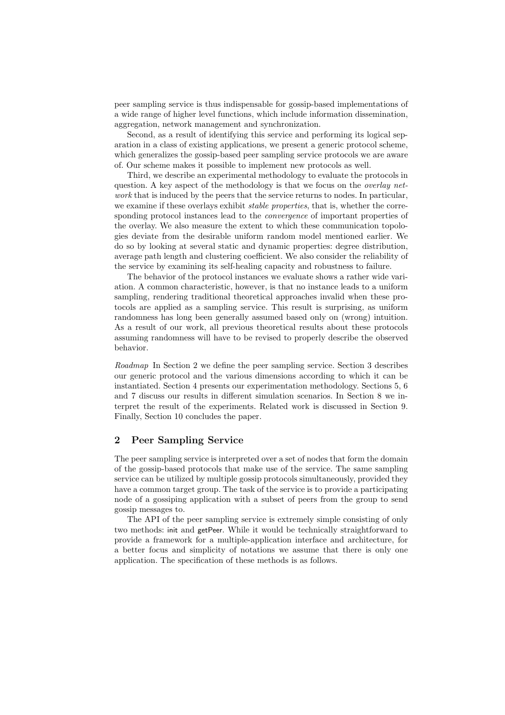peer sampling service is thus indispensable for gossip-based implementations of a wide range of higher level functions, which include information dissemination, aggregation, network management and synchronization.

Second, as a result of identifying this service and performing its logical separation in a class of existing applications, we present a generic protocol scheme, which generalizes the gossip-based peer sampling service protocols we are aware of. Our scheme makes it possible to implement new protocols as well.

Third, we describe an experimental methodology to evaluate the protocols in question. A key aspect of the methodology is that we focus on the *overlay net*work that is induced by the peers that the service returns to nodes. In particular, we examine if these overlays exhibit *stable properties*, that is, whether the corresponding protocol instances lead to the *convergence* of important properties of the overlay. We also measure the extent to which these communication topologies deviate from the desirable uniform random model mentioned earlier. We do so by looking at several static and dynamic properties: degree distribution, average path length and clustering coefficient. We also consider the reliability of the service by examining its self-healing capacity and robustness to failure.

The behavior of the protocol instances we evaluate shows a rather wide variation. A common characteristic, however, is that no instance leads to a uniform sampling, rendering traditional theoretical approaches invalid when these protocols are applied as a sampling service. This result is surprising, as uniform randomness has long been generally assumed based only on (wrong) intuition. As a result of our work, all previous theoretical results about these protocols assuming randomness will have to be revised to properly describe the observed behavior.

Roadmap In Section 2 we define the peer sampling service. Section 3 describes our generic protocol and the various dimensions according to which it can be instantiated. Section 4 presents our experimentation methodology. Sections 5, 6 and 7 discuss our results in different simulation scenarios. In Section 8 we interpret the result of the experiments. Related work is discussed in Section 9. Finally, Section 10 concludes the paper.

# 2 Peer Sampling Service

The peer sampling service is interpreted over a set of nodes that form the domain of the gossip-based protocols that make use of the service. The same sampling service can be utilized by multiple gossip protocols simultaneously, provided they have a common target group. The task of the service is to provide a participating node of a gossiping application with a subset of peers from the group to send gossip messages to.

The API of the peer sampling service is extremely simple consisting of only two methods: init and getPeer. While it would be technically straightforward to provide a framework for a multiple-application interface and architecture, for a better focus and simplicity of notations we assume that there is only one application. The specification of these methods is as follows.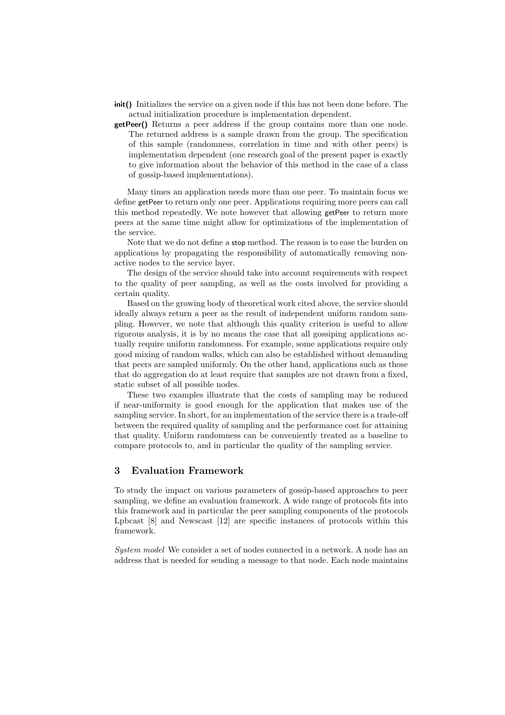- init() Initializes the service on a given node if this has not been done before. The actual initialization procedure is implementation dependent.
- getPeer() Returns a peer address if the group contains more than one node. The returned address is a sample drawn from the group. The specification of this sample (randomness, correlation in time and with other peers) is implementation dependent (one research goal of the present paper is exactly to give information about the behavior of this method in the case of a class of gossip-based implementations).

Many times an application needs more than one peer. To maintain focus we define getPeer to return only one peer. Applications requiring more peers can call this method repeatedly. We note however that allowing getPeer to return more peers at the same time might allow for optimizations of the implementation of the service.

Note that we do not define a stop method. The reason is to ease the burden on applications by propagating the responsibility of automatically removing nonactive nodes to the service layer.

The design of the service should take into account requirements with respect to the quality of peer sampling, as well as the costs involved for providing a certain quality.

Based on the growing body of theoretical work cited above, the service should ideally always return a peer as the result of independent uniform random sampling. However, we note that although this quality criterion is useful to allow rigorous analysis, it is by no means the case that all gossiping applications actually require uniform randomness. For example, some applications require only good mixing of random walks, which can also be established without demanding that peers are sampled uniformly. On the other hand, applications such as those that do aggregation do at least require that samples are not drawn from a fixed, static subset of all possible nodes.

These two examples illustrate that the costs of sampling may be reduced if near-uniformity is good enough for the application that makes use of the sampling service. In short, for an implementation of the service there is a trade-off between the required quality of sampling and the performance cost for attaining that quality. Uniform randomness can be conveniently treated as a baseline to compare protocols to, and in particular the quality of the sampling service.

# 3 Evaluation Framework

To study the impact on various parameters of gossip-based approaches to peer sampling, we define an evaluation framework. A wide range of protocols fits into this framework and in particular the peer sampling components of the protocols Lpbcast [8] and Newscast [12] are specific instances of protocols within this framework.

System model We consider a set of nodes connected in a network. A node has an address that is needed for sending a message to that node. Each node maintains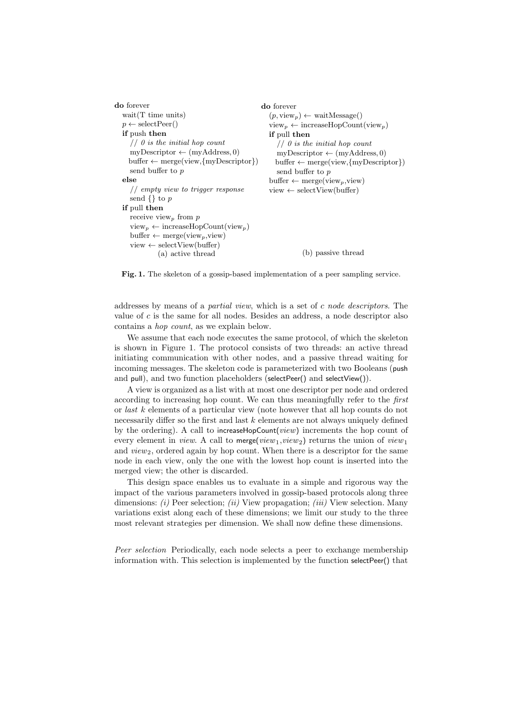| do forever                                                          | <b>do</b> forever                                    |
|---------------------------------------------------------------------|------------------------------------------------------|
| wait $(T \text{ time units})$                                       | $(p, \text{view}_p) \leftarrow \text{waitMessage}()$ |
| $p \leftarrow \text{selectPeer}()$                                  | $view_p \leftarrow increaseHopCount(view_p)$         |
| if push then                                                        | if pull then                                         |
| $// 0$ is the initial hop count                                     | $// 0$ is the initial hop count                      |
| $myDescription \leftarrow (myAddress, 0)$                           | $myDescription \leftarrow (myAddress, 0)$            |
| $buffer \leftarrow merge(view, \{myDescriptor\})$                   | $buffer \leftarrow merge(view, \{myDescriptor\})$    |
| send buffer to $p$                                                  | send buffer to $p$                                   |
| else                                                                | $\text{buffer} \leftarrow \text{merge}(view_p,view)$ |
| $//$ empty view to trigger response                                 | $view \leftarrow selectView(buffer)$                 |
| send $\{\}\$ to $p$                                                 |                                                      |
| if pull then                                                        |                                                      |
| receive view <sub>p</sub> from $p$                                  |                                                      |
| view <sub>p</sub> $\leftarrow$ increaseHopCount(view <sub>p</sub> ) |                                                      |
| buffer $\leftarrow$ merge(view <sub>p</sub> , view)                 |                                                      |
| $view \leftarrow selectView(buffer)$                                |                                                      |
| (a) active thread                                                   | (b) passive thread                                   |

Fig. 1. The skeleton of a gossip-based implementation of a peer sampling service.

addresses by means of a partial view, which is a set of c node descriptors. The value of  $c$  is the same for all nodes. Besides an address, a node descriptor also contains a hop count, as we explain below.

We assume that each node executes the same protocol, of which the skeleton is shown in Figure 1. The protocol consists of two threads: an active thread initiating communication with other nodes, and a passive thread waiting for incoming messages. The skeleton code is parameterized with two Booleans (push and pull), and two function placeholders (selectPeer() and selectView()).

A view is organized as a list with at most one descriptor per node and ordered according to increasing hop count. We can thus meaningfully refer to the first or last k elements of a particular view (note however that all hop counts do not necessarily differ so the first and last  $k$  elements are not always uniquely defined by the ordering). A call to increaseHopCount(view) increments the hop count of every element in *view*. A call to merge(*view*<sub>1</sub>,*view*<sub>2</sub>) returns the union of *view*<sub>1</sub> and  $view_2$ , ordered again by hop count. When there is a descriptor for the same node in each view, only the one with the lowest hop count is inserted into the merged view; the other is discarded.

This design space enables us to evaluate in a simple and rigorous way the impact of the various parameters involved in gossip-based protocols along three dimensions:  $(i)$  Peer selection;  $(ii)$  View propagation;  $(iii)$  View selection. Many variations exist along each of these dimensions; we limit our study to the three most relevant strategies per dimension. We shall now define these dimensions.

Peer selection Periodically, each node selects a peer to exchange membership information with. This selection is implemented by the function selectPeer() that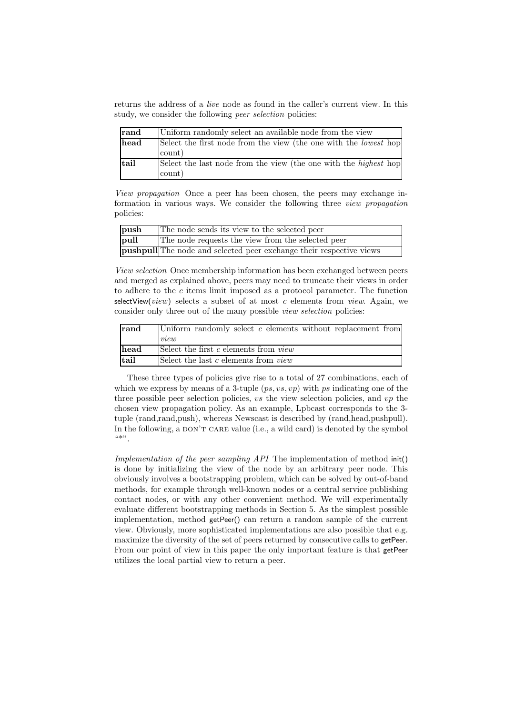returns the address of a live node as found in the caller's current view. In this study, we consider the following *peer selection* policies:

| rand | Uniform randomly select an available node from the view                 |
|------|-------------------------------------------------------------------------|
| head | Select the first node from the view (the one with the <i>lowest</i> hop |
|      | count)                                                                  |
| tail | Select the last node from the view (the one with the <i>highest</i> hop |
|      | count)                                                                  |

View propagation Once a peer has been chosen, the peers may exchange information in various ways. We consider the following three view propagation policies:

| push | The node sends its view to the selected peer                               |
|------|----------------------------------------------------------------------------|
| pull | The node requests the view from the selected peer                          |
|      | <b>pushpull</b> The node and selected peer exchange their respective views |

View selection Once membership information has been exchanged between peers and merged as explained above, peers may need to truncate their views in order to adhere to the c items limit imposed as a protocol parameter. The function selectView(view) selects a subset of at most  $c$  elements from view. Again, we consider only three out of the many possible view selection policies:

| rand | Uniform randomly select $c$ elements without replacement from |
|------|---------------------------------------------------------------|
|      | view                                                          |
| head | Select the first c elements from view                         |
| tail | Select the last c elements from view                          |

These three types of policies give rise to a total of 27 combinations, each of which we express by means of a 3-tuple  $(ps, vs, vp)$  with ps indicating one of the three possible peer selection policies,  $vs$  the view selection policies, and  $vp$  the chosen view propagation policy. As an example, Lpbcast corresponds to the 3 tuple (rand,rand,push), whereas Newscast is described by (rand,head,pushpull). In the following, a  $DON'T$  CARE value (i.e., a wild card) is denoted by the symbol  $((*)$ 

Implementation of the peer sampling API The implementation of method init() is done by initializing the view of the node by an arbitrary peer node. This obviously involves a bootstrapping problem, which can be solved by out-of-band methods, for example through well-known nodes or a central service publishing contact nodes, or with any other convenient method. We will experimentally evaluate different bootstrapping methods in Section 5. As the simplest possible implementation, method getPeer() can return a random sample of the current view. Obviously, more sophisticated implementations are also possible that e.g. maximize the diversity of the set of peers returned by consecutive calls to getPeer. From our point of view in this paper the only important feature is that getPeer utilizes the local partial view to return a peer.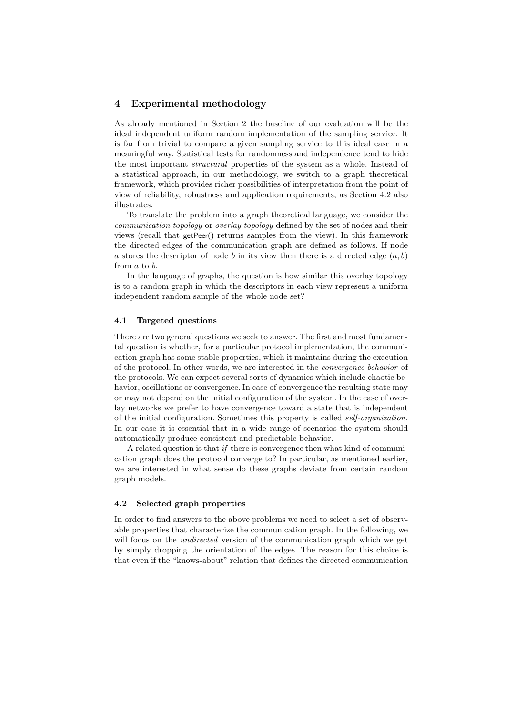# 4 Experimental methodology

As already mentioned in Section 2 the baseline of our evaluation will be the ideal independent uniform random implementation of the sampling service. It is far from trivial to compare a given sampling service to this ideal case in a meaningful way. Statistical tests for randomness and independence tend to hide the most important structural properties of the system as a whole. Instead of a statistical approach, in our methodology, we switch to a graph theoretical framework, which provides richer possibilities of interpretation from the point of view of reliability, robustness and application requirements, as Section 4.2 also illustrates.

To translate the problem into a graph theoretical language, we consider the communication topology or overlay topology defined by the set of nodes and their views (recall that getPeer() returns samples from the view). In this framework the directed edges of the communication graph are defined as follows. If node a stores the descriptor of node b in its view then there is a directed edge  $(a, b)$ from a to b.

In the language of graphs, the question is how similar this overlay topology is to a random graph in which the descriptors in each view represent a uniform independent random sample of the whole node set?

#### 4.1 Targeted questions

There are two general questions we seek to answer. The first and most fundamental question is whether, for a particular protocol implementation, the communication graph has some stable properties, which it maintains during the execution of the protocol. In other words, we are interested in the convergence behavior of the protocols. We can expect several sorts of dynamics which include chaotic behavior, oscillations or convergence. In case of convergence the resulting state may or may not depend on the initial configuration of the system. In the case of overlay networks we prefer to have convergence toward a state that is independent of the initial configuration. Sometimes this property is called self-organization. In our case it is essential that in a wide range of scenarios the system should automatically produce consistent and predictable behavior.

A related question is that if there is convergence then what kind of communication graph does the protocol converge to? In particular, as mentioned earlier, we are interested in what sense do these graphs deviate from certain random graph models.

#### 4.2 Selected graph properties

In order to find answers to the above problems we need to select a set of observable properties that characterize the communication graph. In the following, we will focus on the *undirected* version of the communication graph which we get by simply dropping the orientation of the edges. The reason for this choice is that even if the "knows-about" relation that defines the directed communication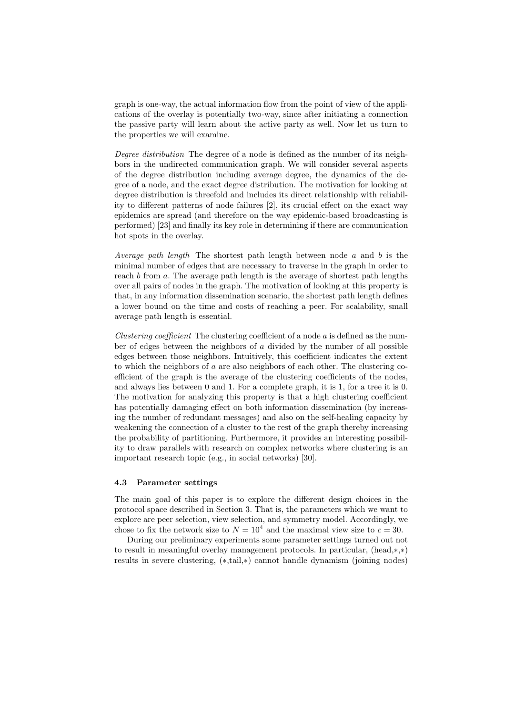graph is one-way, the actual information flow from the point of view of the applications of the overlay is potentially two-way, since after initiating a connection the passive party will learn about the active party as well. Now let us turn to the properties we will examine.

Degree distribution The degree of a node is defined as the number of its neighbors in the undirected communication graph. We will consider several aspects of the degree distribution including average degree, the dynamics of the degree of a node, and the exact degree distribution. The motivation for looking at degree distribution is threefold and includes its direct relationship with reliability to different patterns of node failures [2], its crucial effect on the exact way epidemics are spread (and therefore on the way epidemic-based broadcasting is performed) [23] and finally its key role in determining if there are communication hot spots in the overlay.

Average path length The shortest path length between node  $a$  and  $b$  is the minimal number of edges that are necessary to traverse in the graph in order to reach b from a. The average path length is the average of shortest path lengths over all pairs of nodes in the graph. The motivation of looking at this property is that, in any information dissemination scenario, the shortest path length defines a lower bound on the time and costs of reaching a peer. For scalability, small average path length is essential.

*Clustering coefficient* The clustering coefficient of a node  $a$  is defined as the number of edges between the neighbors of  $\alpha$  divided by the number of all possible edges between those neighbors. Intuitively, this coefficient indicates the extent to which the neighbors of  $a$  are also neighbors of each other. The clustering coefficient of the graph is the average of the clustering coefficients of the nodes, and always lies between 0 and 1. For a complete graph, it is 1, for a tree it is 0. The motivation for analyzing this property is that a high clustering coefficient has potentially damaging effect on both information dissemination (by increasing the number of redundant messages) and also on the self-healing capacity by weakening the connection of a cluster to the rest of the graph thereby increasing the probability of partitioning. Furthermore, it provides an interesting possibility to draw parallels with research on complex networks where clustering is an important research topic (e.g., in social networks) [30].

#### 4.3 Parameter settings

The main goal of this paper is to explore the different design choices in the protocol space described in Section 3. That is, the parameters which we want to explore are peer selection, view selection, and symmetry model. Accordingly, we chose to fix the network size to  $N = 10^4$  and the maximal view size to  $c = 30$ .

During our preliminary experiments some parameter settings turned out not to result in meaningful overlay management protocols. In particular, (head,∗,∗) results in severe clustering, (∗,tail,∗) cannot handle dynamism (joining nodes)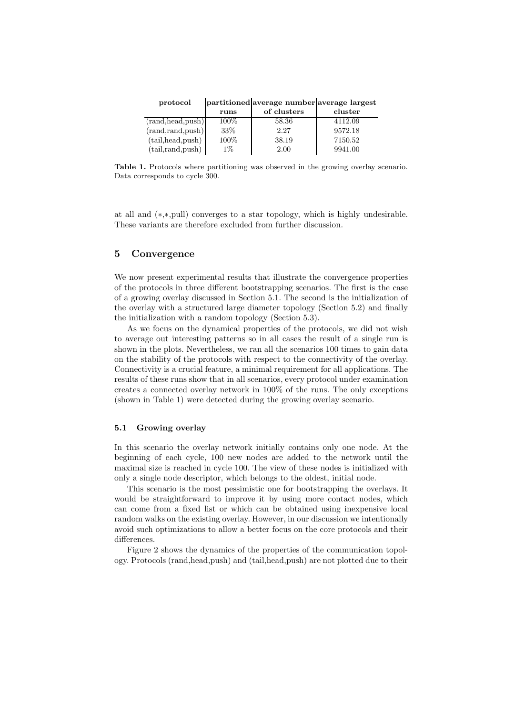| protocol           |         | partitioned average number average largest |         |  |
|--------------------|---------|--------------------------------------------|---------|--|
|                    | runs    | of clusters                                | cluster |  |
| (rand, head, push) | $100\%$ | 58.36                                      | 4112.09 |  |
| (rand, rand, push) | 33%     | 2.27                                       | 9572.18 |  |
| (tail, head, push) | 100%    | 38.19                                      | 7150.52 |  |
| (tail, rand, push) | $1\%$   | 2.00                                       | 9941.00 |  |

Table 1. Protocols where partitioning was observed in the growing overlay scenario. Data corresponds to cycle 300.

at all and (∗,∗,pull) converges to a star topology, which is highly undesirable. These variants are therefore excluded from further discussion.

## 5 Convergence

We now present experimental results that illustrate the convergence properties of the protocols in three different bootstrapping scenarios. The first is the case of a growing overlay discussed in Section 5.1. The second is the initialization of the overlay with a structured large diameter topology (Section 5.2) and finally the initialization with a random topology (Section 5.3).

As we focus on the dynamical properties of the protocols, we did not wish to average out interesting patterns so in all cases the result of a single run is shown in the plots. Nevertheless, we ran all the scenarios 100 times to gain data on the stability of the protocols with respect to the connectivity of the overlay. Connectivity is a crucial feature, a minimal requirement for all applications. The results of these runs show that in all scenarios, every protocol under examination creates a connected overlay network in 100% of the runs. The only exceptions (shown in Table 1) were detected during the growing overlay scenario.

#### 5.1 Growing overlay

In this scenario the overlay network initially contains only one node. At the beginning of each cycle, 100 new nodes are added to the network until the maximal size is reached in cycle 100. The view of these nodes is initialized with only a single node descriptor, which belongs to the oldest, initial node.

This scenario is the most pessimistic one for bootstrapping the overlays. It would be straightforward to improve it by using more contact nodes, which can come from a fixed list or which can be obtained using inexpensive local random walks on the existing overlay. However, in our discussion we intentionally avoid such optimizations to allow a better focus on the core protocols and their differences.

Figure 2 shows the dynamics of the properties of the communication topology. Protocols (rand,head,push) and (tail,head,push) are not plotted due to their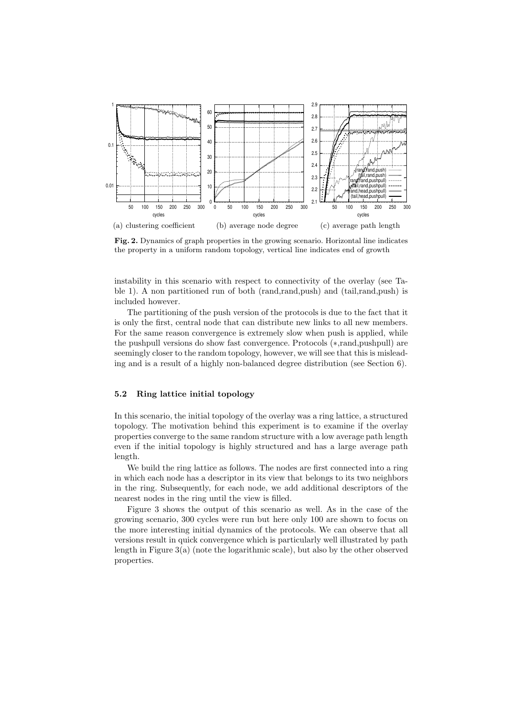

Fig. 2. Dynamics of graph properties in the growing scenario. Horizontal line indicates the property in a uniform random topology, vertical line indicates end of growth

instability in this scenario with respect to connectivity of the overlay (see Table 1). A non partitioned run of both (rand,rand,push) and (tail,rand,push) is included however.

The partitioning of the push version of the protocols is due to the fact that it is only the first, central node that can distribute new links to all new members. For the same reason convergence is extremely slow when push is applied, while the pushpull versions do show fast convergence. Protocols (∗,rand,pushpull) are seemingly closer to the random topology, however, we will see that this is misleading and is a result of a highly non-balanced degree distribution (see Section 6).

# 5.2 Ring lattice initial topology

In this scenario, the initial topology of the overlay was a ring lattice, a structured topology. The motivation behind this experiment is to examine if the overlay properties converge to the same random structure with a low average path length even if the initial topology is highly structured and has a large average path length.

We build the ring lattice as follows. The nodes are first connected into a ring in which each node has a descriptor in its view that belongs to its two neighbors in the ring. Subsequently, for each node, we add additional descriptors of the nearest nodes in the ring until the view is filled.

Figure 3 shows the output of this scenario as well. As in the case of the growing scenario, 300 cycles were run but here only 100 are shown to focus on the more interesting initial dynamics of the protocols. We can observe that all versions result in quick convergence which is particularly well illustrated by path length in Figure 3(a) (note the logarithmic scale), but also by the other observed properties.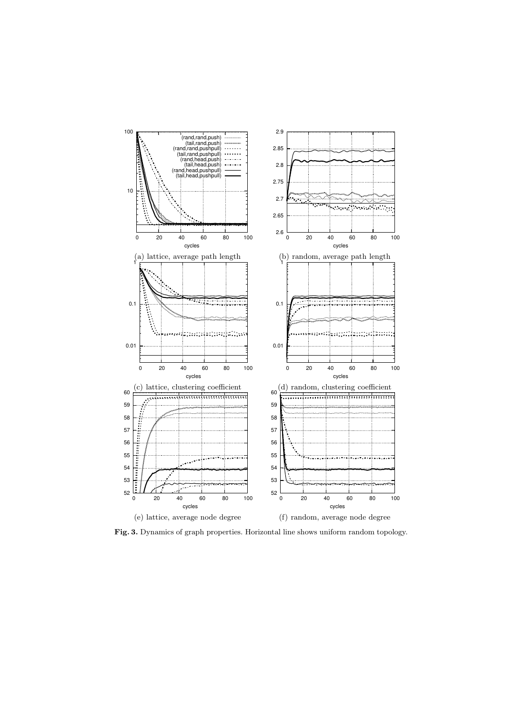

Fig. 3. Dynamics of graph properties. Horizontal line shows uniform random topology.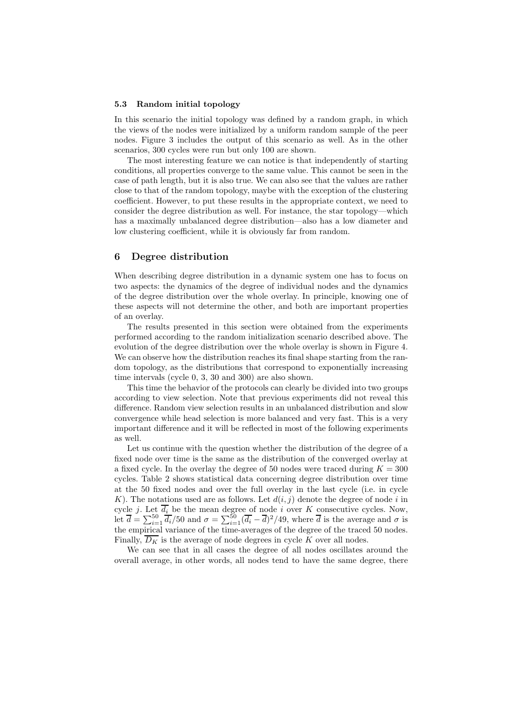#### 5.3 Random initial topology

In this scenario the initial topology was defined by a random graph, in which the views of the nodes were initialized by a uniform random sample of the peer nodes. Figure 3 includes the output of this scenario as well. As in the other scenarios, 300 cycles were run but only 100 are shown.

The most interesting feature we can notice is that independently of starting conditions, all properties converge to the same value. This cannot be seen in the case of path length, but it is also true. We can also see that the values are rather close to that of the random topology, maybe with the exception of the clustering coefficient. However, to put these results in the appropriate context, we need to consider the degree distribution as well. For instance, the star topology—which has a maximally unbalanced degree distribution—also has a low diameter and low clustering coefficient, while it is obviously far from random.

### 6 Degree distribution

When describing degree distribution in a dynamic system one has to focus on two aspects: the dynamics of the degree of individual nodes and the dynamics of the degree distribution over the whole overlay. In principle, knowing one of these aspects will not determine the other, and both are important properties of an overlay.

The results presented in this section were obtained from the experiments performed according to the random initialization scenario described above. The evolution of the degree distribution over the whole overlay is shown in Figure 4. We can observe how the distribution reaches its final shape starting from the random topology, as the distributions that correspond to exponentially increasing time intervals (cycle 0, 3, 30 and 300) are also shown.

This time the behavior of the protocols can clearly be divided into two groups according to view selection. Note that previous experiments did not reveal this difference. Random view selection results in an unbalanced distribution and slow convergence while head selection is more balanced and very fast. This is a very important difference and it will be reflected in most of the following experiments as well.

Let us continue with the question whether the distribution of the degree of a fixed node over time is the same as the distribution of the converged overlay at a fixed cycle. In the overlay the degree of 50 nodes were traced during  $K = 300$ cycles. Table 2 shows statistical data concerning degree distribution over time at the 50 fixed nodes and over the full overlay in the last cycle (i.e. in cycle K). The notations used are as follows. Let  $d(i, j)$  denote the degree of node i in cycle j. Let  $d_i$  be the mean degree of node i over K consecutive cycles. Now, let  $\overline{d} = \sum_{i=1}^{50} \frac{i}{d_i} / 50$  and  $\sigma = \sum_{i=1}^{50} (\overline{d_i} - \overline{d})^2 / 49$ , where  $\overline{d}$  is the average and  $\sigma$  is the empirical variance of the time-averages of the degree of the traced 50 nodes. Finally,  $\overline{D_K}$  is the average of node degrees in cycle K over all nodes.

We can see that in all cases the degree of all nodes oscillates around the overall average, in other words, all nodes tend to have the same degree, there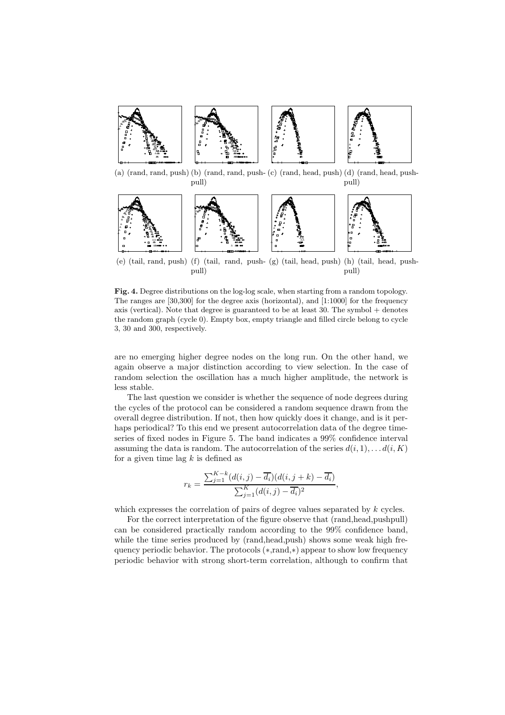

(a) (rand, rand, push) (b) (rand, rand, push-(c) (rand, head, push) (d) (rand, head, pushpull) pull)



(e) (tail, rand, push) (f) (tail, rand, push-(g) (tail, head, push) (h) (tail, head, pushpull) pull)

Fig. 4. Degree distributions on the log-log scale, when starting from a random topology. The ranges are [30,300] for the degree axis (horizontal), and [1:1000] for the frequency axis (vertical). Note that degree is guaranteed to be at least  $30$ . The symbol  $+$  denotes the random graph (cycle 0). Empty box, empty triangle and filled circle belong to cycle 3, 30 and 300, respectively.

are no emerging higher degree nodes on the long run. On the other hand, we again observe a major distinction according to view selection. In the case of random selection the oscillation has a much higher amplitude, the network is less stable.

The last question we consider is whether the sequence of node degrees during the cycles of the protocol can be considered a random sequence drawn from the overall degree distribution. If not, then how quickly does it change, and is it perhaps periodical? To this end we present autocorrelation data of the degree timeseries of fixed nodes in Figure 5. The band indicates a 99% confidence interval assuming the data is random. The autocorrelation of the series  $d(i, 1), \ldots d(i, K)$ for a given time lag  $k$  is defined as

$$
r_k = \frac{\sum_{j=1}^{K-k} (d(i,j) - \overline{d_i})(d(i,j+k) - \overline{d_i})}{\sum_{j=1}^{K} (d(i,j) - \overline{d_i})^2},
$$

which expresses the correlation of pairs of degree values separated by  $k$  cycles.

For the correct interpretation of the figure observe that (rand,head,pushpull) can be considered practically random according to the 99% confidence band, while the time series produced by (rand,head,push) shows some weak high frequency periodic behavior. The protocols (∗,rand,∗) appear to show low frequency periodic behavior with strong short-term correlation, although to confirm that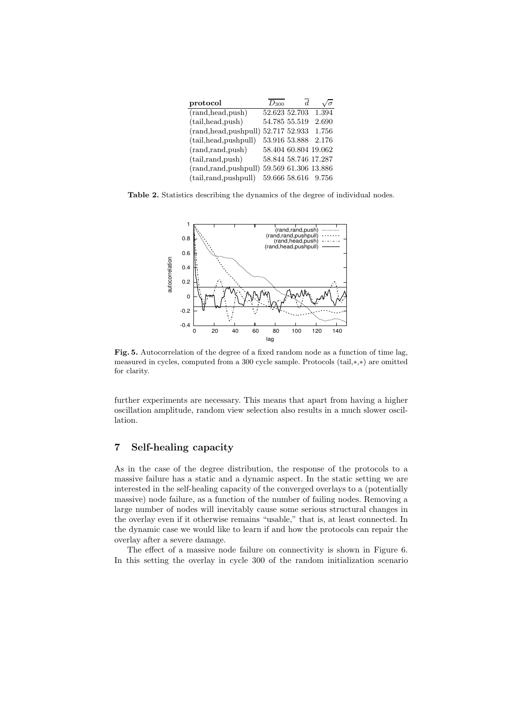| protocol               | $D_{300}$     | d                    |       |
|------------------------|---------------|----------------------|-------|
| (rand, head, push)     | 52.623 52.703 |                      | 1.394 |
| (tail, head, push)     |               | 54.785 55.519        | 2.690 |
| (rand, head, pushpull) | 52.717 52.933 |                      | 1.756 |
| (tail, head, pushpull) | 53.916 53.888 |                      | 2.176 |
| (rand, rand, push)     |               | 58.404 60.804 19.062 |       |
| (tail, rand, push)     |               | 58.844 58.746 17.287 |       |
| (rand,rand,pushpull)   |               | 59.569 61.306 13.886 |       |
| (tail,rand,pushpull)   |               | 59.666 58.616        | 9.756 |

Table 2. Statistics describing the dynamics of the degree of individual nodes.



Fig. 5. Autocorrelation of the degree of a fixed random node as a function of time lag, measured in cycles, computed from a 300 cycle sample. Protocols (tail,∗,∗) are omitted for clarity.

further experiments are necessary. This means that apart from having a higher oscillation amplitude, random view selection also results in a much slower oscillation.

# 7 Self-healing capacity

As in the case of the degree distribution, the response of the protocols to a massive failure has a static and a dynamic aspect. In the static setting we are interested in the self-healing capacity of the converged overlays to a (potentially massive) node failure, as a function of the number of failing nodes. Removing a large number of nodes will inevitably cause some serious structural changes in the overlay even if it otherwise remains "usable," that is, at least connected. In the dynamic case we would like to learn if and how the protocols can repair the overlay after a severe damage.

The effect of a massive node failure on connectivity is shown in Figure 6. In this setting the overlay in cycle 300 of the random initialization scenario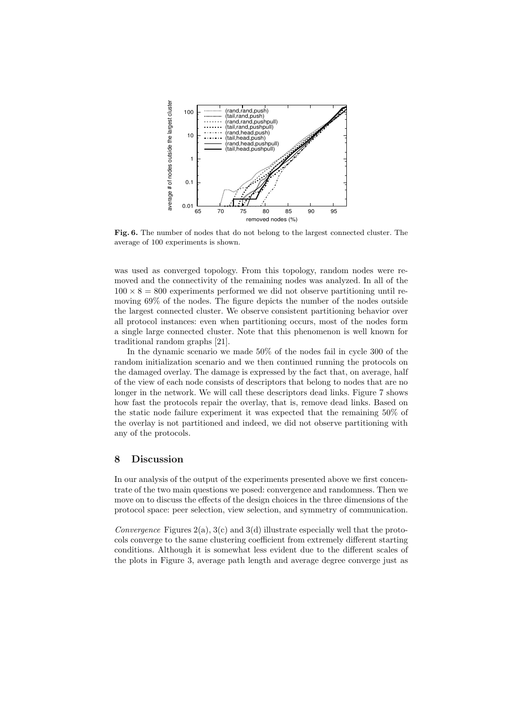

Fig. 6. The number of nodes that do not belong to the largest connected cluster. The average of 100 experiments is shown.

was used as converged topology. From this topology, random nodes were removed and the connectivity of the remaining nodes was analyzed. In all of the  $100 \times 8 = 800$  experiments performed we did not observe partitioning until removing 69% of the nodes. The figure depicts the number of the nodes outside the largest connected cluster. We observe consistent partitioning behavior over all protocol instances: even when partitioning occurs, most of the nodes form a single large connected cluster. Note that this phenomenon is well known for traditional random graphs [21].

In the dynamic scenario we made 50% of the nodes fail in cycle 300 of the random initialization scenario and we then continued running the protocols on the damaged overlay. The damage is expressed by the fact that, on average, half of the view of each node consists of descriptors that belong to nodes that are no longer in the network. We will call these descriptors dead links. Figure 7 shows how fast the protocols repair the overlay, that is, remove dead links. Based on the static node failure experiment it was expected that the remaining 50% of the overlay is not partitioned and indeed, we did not observe partitioning with any of the protocols.

# 8 Discussion

In our analysis of the output of the experiments presented above we first concentrate of the two main questions we posed: convergence and randomness. Then we move on to discuss the effects of the design choices in the three dimensions of the protocol space: peer selection, view selection, and symmetry of communication.

Convergence Figures  $2(a)$ ,  $3(c)$  and  $3(d)$  illustrate especially well that the protocols converge to the same clustering coefficient from extremely different starting conditions. Although it is somewhat less evident due to the different scales of the plots in Figure 3, average path length and average degree converge just as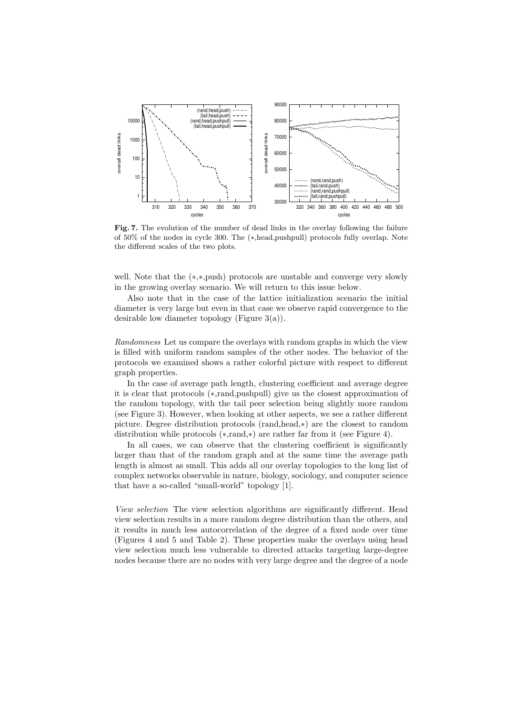

Fig. 7. The evolution of the number of dead links in the overlay following the failure of 50% of the nodes in cycle 300. The (∗,head,pushpull) protocols fully overlap. Note the different scales of the two plots.

well. Note that the (∗,∗,push) protocols are unstable and converge very slowly in the growing overlay scenario. We will return to this issue below.

Also note that in the case of the lattice initialization scenario the initial diameter is very large but even in that case we observe rapid convergence to the desirable low diameter topology (Figure 3(a)).

Randomness Let us compare the overlays with random graphs in which the view is filled with uniform random samples of the other nodes. The behavior of the protocols we examined shows a rather colorful picture with respect to different graph properties.

In the case of average path length, clustering coefficient and average degree it is clear that protocols (∗,rand,pushpull) give us the closest approximation of the random topology, with the tail peer selection being slightly more random (see Figure 3). However, when looking at other aspects, we see a rather different picture. Degree distribution protocols (rand,head,∗) are the closest to random distribution while protocols (∗,rand,∗) are rather far from it (see Figure 4).

In all cases, we can observe that the clustering coefficient is significantly larger than that of the random graph and at the same time the average path length is almost as small. This adds all our overlay topologies to the long list of complex networks observable in nature, biology, sociology, and computer science that have a so-called "small-world" topology [1].

View selection The view selection algorithms are significantly different. Head view selection results in a more random degree distribution than the others, and it results in much less autocorrelation of the degree of a fixed node over time (Figures 4 and 5 and Table 2). These properties make the overlays using head view selection much less vulnerable to directed attacks targeting large-degree nodes because there are no nodes with very large degree and the degree of a node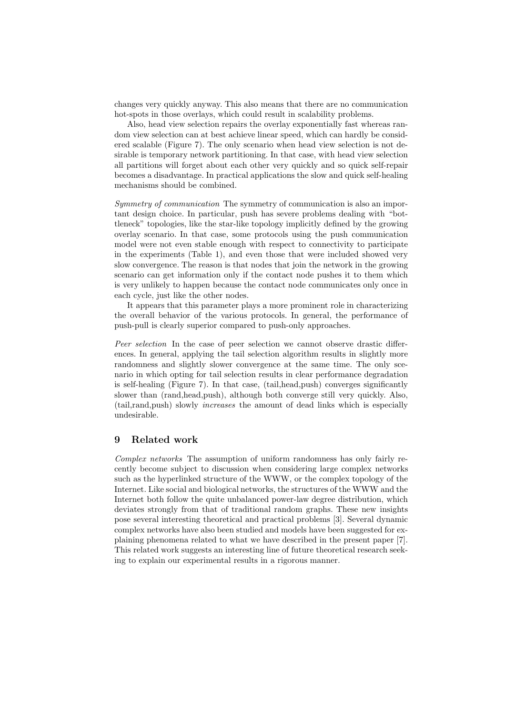changes very quickly anyway. This also means that there are no communication hot-spots in those overlays, which could result in scalability problems.

Also, head view selection repairs the overlay exponentially fast whereas random view selection can at best achieve linear speed, which can hardly be considered scalable (Figure 7). The only scenario when head view selection is not desirable is temporary network partitioning. In that case, with head view selection all partitions will forget about each other very quickly and so quick self-repair becomes a disadvantage. In practical applications the slow and quick self-healing mechanisms should be combined.

Symmetry of communication The symmetry of communication is also an important design choice. In particular, push has severe problems dealing with "bottleneck" topologies, like the star-like topology implicitly defined by the growing overlay scenario. In that case, some protocols using the push communication model were not even stable enough with respect to connectivity to participate in the experiments (Table 1), and even those that were included showed very slow convergence. The reason is that nodes that join the network in the growing scenario can get information only if the contact node pushes it to them which is very unlikely to happen because the contact node communicates only once in each cycle, just like the other nodes.

It appears that this parameter plays a more prominent role in characterizing the overall behavior of the various protocols. In general, the performance of push-pull is clearly superior compared to push-only approaches.

Peer selection In the case of peer selection we cannot observe drastic differences. In general, applying the tail selection algorithm results in slightly more randomness and slightly slower convergence at the same time. The only scenario in which opting for tail selection results in clear performance degradation is self-healing (Figure 7). In that case, (tail,head,push) converges significantly slower than (rand,head,push), although both converge still very quickly. Also, (tail,rand,push) slowly increases the amount of dead links which is especially undesirable.

# 9 Related work

Complex networks The assumption of uniform randomness has only fairly recently become subject to discussion when considering large complex networks such as the hyperlinked structure of the WWW, or the complex topology of the Internet. Like social and biological networks, the structures of the WWW and the Internet both follow the quite unbalanced power-law degree distribution, which deviates strongly from that of traditional random graphs. These new insights pose several interesting theoretical and practical problems [3]. Several dynamic complex networks have also been studied and models have been suggested for explaining phenomena related to what we have described in the present paper [7]. This related work suggests an interesting line of future theoretical research seeking to explain our experimental results in a rigorous manner.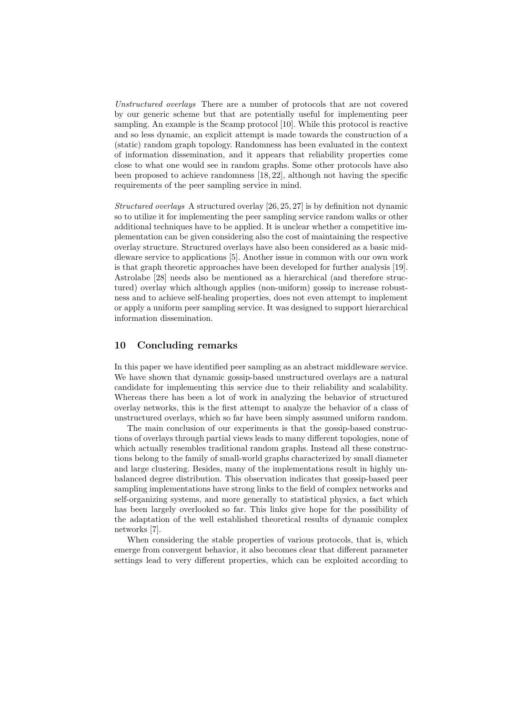Unstructured overlays There are a number of protocols that are not covered by our generic scheme but that are potentially useful for implementing peer sampling. An example is the Scamp protocol [10]. While this protocol is reactive and so less dynamic, an explicit attempt is made towards the construction of a (static) random graph topology. Randomness has been evaluated in the context of information dissemination, and it appears that reliability properties come close to what one would see in random graphs. Some other protocols have also been proposed to achieve randomness [18, 22], although not having the specific requirements of the peer sampling service in mind.

Structured overlays A structured overlay [26, 25, 27] is by definition not dynamic so to utilize it for implementing the peer sampling service random walks or other additional techniques have to be applied. It is unclear whether a competitive implementation can be given considering also the cost of maintaining the respective overlay structure. Structured overlays have also been considered as a basic middleware service to applications [5]. Another issue in common with our own work is that graph theoretic approaches have been developed for further analysis [19]. Astrolabe [28] needs also be mentioned as a hierarchical (and therefore structured) overlay which although applies (non-uniform) gossip to increase robustness and to achieve self-healing properties, does not even attempt to implement or apply a uniform peer sampling service. It was designed to support hierarchical information dissemination.

# 10 Concluding remarks

In this paper we have identified peer sampling as an abstract middleware service. We have shown that dynamic gossip-based unstructured overlays are a natural candidate for implementing this service due to their reliability and scalability. Whereas there has been a lot of work in analyzing the behavior of structured overlay networks, this is the first attempt to analyze the behavior of a class of unstructured overlays, which so far have been simply assumed uniform random.

The main conclusion of our experiments is that the gossip-based constructions of overlays through partial views leads to many different topologies, none of which actually resembles traditional random graphs. Instead all these constructions belong to the family of small-world graphs characterized by small diameter and large clustering. Besides, many of the implementations result in highly unbalanced degree distribution. This observation indicates that gossip-based peer sampling implementations have strong links to the field of complex networks and self-organizing systems, and more generally to statistical physics, a fact which has been largely overlooked so far. This links give hope for the possibility of the adaptation of the well established theoretical results of dynamic complex networks [7].

When considering the stable properties of various protocols, that is, which emerge from convergent behavior, it also becomes clear that different parameter settings lead to very different properties, which can be exploited according to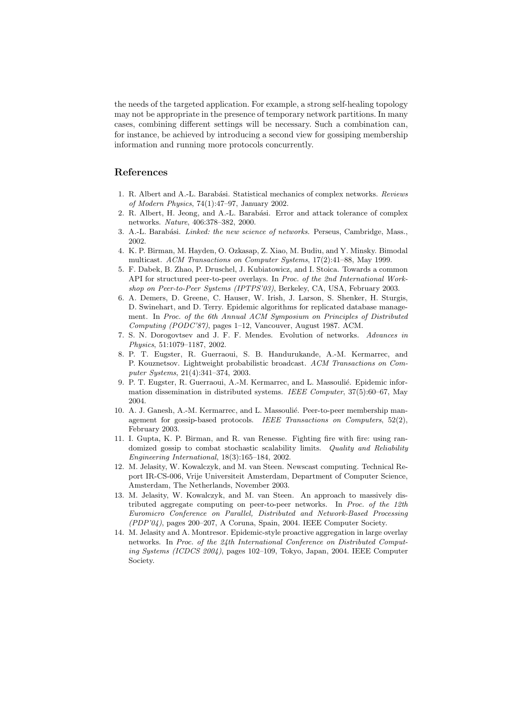the needs of the targeted application. For example, a strong self-healing topology may not be appropriate in the presence of temporary network partitions. In many cases, combining different settings will be necessary. Such a combination can, for instance, be achieved by introducing a second view for gossiping membership information and running more protocols concurrently.

# References

- 1. R. Albert and A.-L. Barab´asi. Statistical mechanics of complex networks. *Reviews of Modern Physics*, 74(1):47–97, January 2002.
- 2. R. Albert, H. Jeong, and A.-L. Barabási. Error and attack tolerance of complex networks. *Nature*, 406:378–382, 2000.
- 3. A.-L. Barab´asi. *Linked: the new science of networks*. Perseus, Cambridge, Mass., 2002.
- 4. K. P. Birman, M. Hayden, O. Ozkasap, Z. Xiao, M. Budiu, and Y. Minsky. Bimodal multicast. *ACM Transactions on Computer Systems*, 17(2):41–88, May 1999.
- 5. F. Dabek, B. Zhao, P. Druschel, J. Kubiatowicz, and I. Stoica. Towards a common API for structured peer-to-peer overlays. In *Proc. of the 2nd International Workshop on Peer-to-Peer Systems (IPTPS'03)*, Berkeley, CA, USA, February 2003.
- 6. A. Demers, D. Greene, C. Hauser, W. Irish, J. Larson, S. Shenker, H. Sturgis, D. Swinehart, and D. Terry. Epidemic algorithms for replicated database management. In *Proc. of the 6th Annual ACM Symposium on Principles of Distributed Computing (PODC'87)*, pages 1–12, Vancouver, August 1987. ACM.
- 7. S. N. Dorogovtsev and J. F. F. Mendes. Evolution of networks. *Advances in Physics*, 51:1079–1187, 2002.
- 8. P. T. Eugster, R. Guerraoui, S. B. Handurukande, A.-M. Kermarrec, and P. Kouznetsov. Lightweight probabilistic broadcast. *ACM Transactions on Computer Systems*, 21(4):341–374, 2003.
- 9. P. T. Eugster, R. Guerraoui, A.-M. Kermarrec, and L. Massoulié. Epidemic information dissemination in distributed systems. *IEEE Computer*, 37(5):60–67, May 2004.
- 10. A. J. Ganesh, A.-M. Kermarrec, and L. Massoulié. Peer-to-peer membership management for gossip-based protocols. *IEEE Transactions on Computers*, 52(2), February 2003.
- 11. I. Gupta, K. P. Birman, and R. van Renesse. Fighting fire with fire: using randomized gossip to combat stochastic scalability limits. *Quality and Reliability Engineering International*, 18(3):165–184, 2002.
- 12. M. Jelasity, W. Kowalczyk, and M. van Steen. Newscast computing. Technical Report IR-CS-006, Vrije Universiteit Amsterdam, Department of Computer Science, Amsterdam, The Netherlands, November 2003.
- 13. M. Jelasity, W. Kowalczyk, and M. van Steen. An approach to massively distributed aggregate computing on peer-to-peer networks. In *Proc. of the 12th Euromicro Conference on Parallel, Distributed and Network-Based Processing (PDP'04)*, pages 200–207, A Coruna, Spain, 2004. IEEE Computer Society.
- 14. M. Jelasity and A. Montresor. Epidemic-style proactive aggregation in large overlay networks. In *Proc. of the 24th International Conference on Distributed Computing Systems (ICDCS 2004)*, pages 102–109, Tokyo, Japan, 2004. IEEE Computer Society.